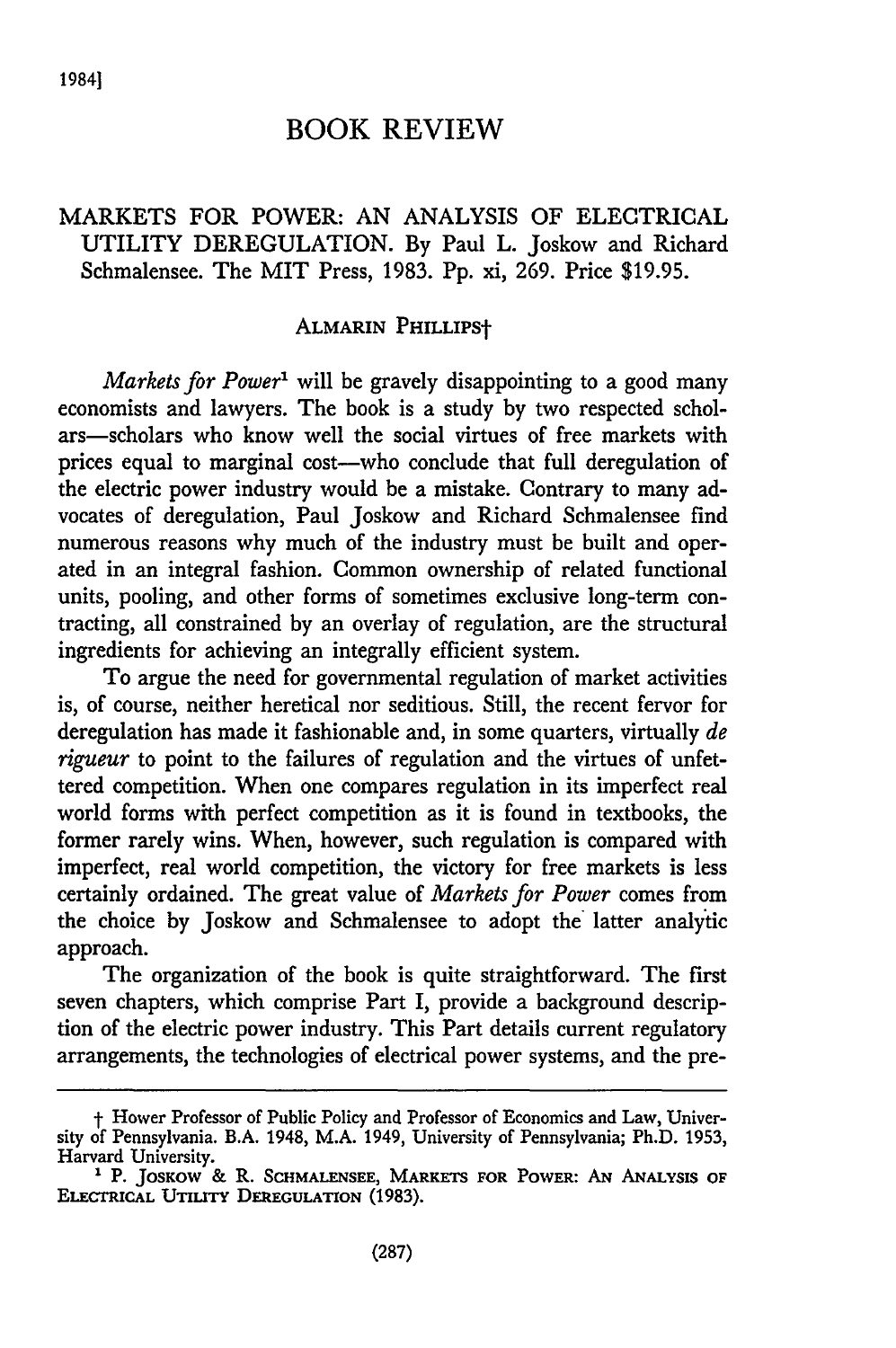## BOOK REVIEW

## MARKETS FOR POWER: AN ANALYSIS OF ELECTRICAL UTILITY DEREGULATION. By Paul L. Joskow and Richard Schmalensee. The MIT Press, 1983. Pp. xi, 269. Price \$19.95.

## **ALMARIN PHILLIPS**†

*Markets for Power'* will be gravely disappointing to a good many economists and lawyers. The book is a study by two respected scholars-scholars who know well the social virtues of free markets with prices equal to marginal cost-who conclude that full deregulation of the electric power industry would be a mistake. Contrary to many advocates of deregulation, Paul Joskow and Richard Schmalensee find numerous reasons why much of the industry must be built and operated in an integral fashion. Common ownership of related functional units, pooling, and other forms of sometimes exclusive long-term contracting, all constrained by an overlay of regulation, are the structural ingredients for achieving an integrally efficient system.

To argue the need for governmental regulation of market activities is, of course, neither heretical nor seditious. Still, the recent fervor for deregulation has made it fashionable and, in some quarters, virtually *de rigueur* to point to the failures of regulation and the virtues of unfettered competition. When one compares regulation in its imperfect real world forms with perfect competition as it is found in textbooks, the former rarely wins. When, however, such regulation is compared with imperfect, real world competition, the victory for free markets is less certainly ordained. The great value of *Markets for Power* comes from the choice by Joskow and Schmalensee to adopt the' latter analytic approach.

The organization of the book is quite straightforward. The first seven chapters, which comprise Part I, provide a background description of the electric power industry. This Part details current regulatory arrangements, the technologies of electrical power systems, and the pre-

t Hower Professor of Public Policy and Professor of Economics and Law, University of Pennsylvania. B.A. 1948, M.A. 1949, University of Pennsylvania; Ph.D. 1953, Harvard University.

**I** P. JoSKOW & R. **SCHMALENSEE, MARKETS FOR PoWER: AN** ANALYSIS **OF ELECTRICAL** UTILITY **DEREGULATION** (1983).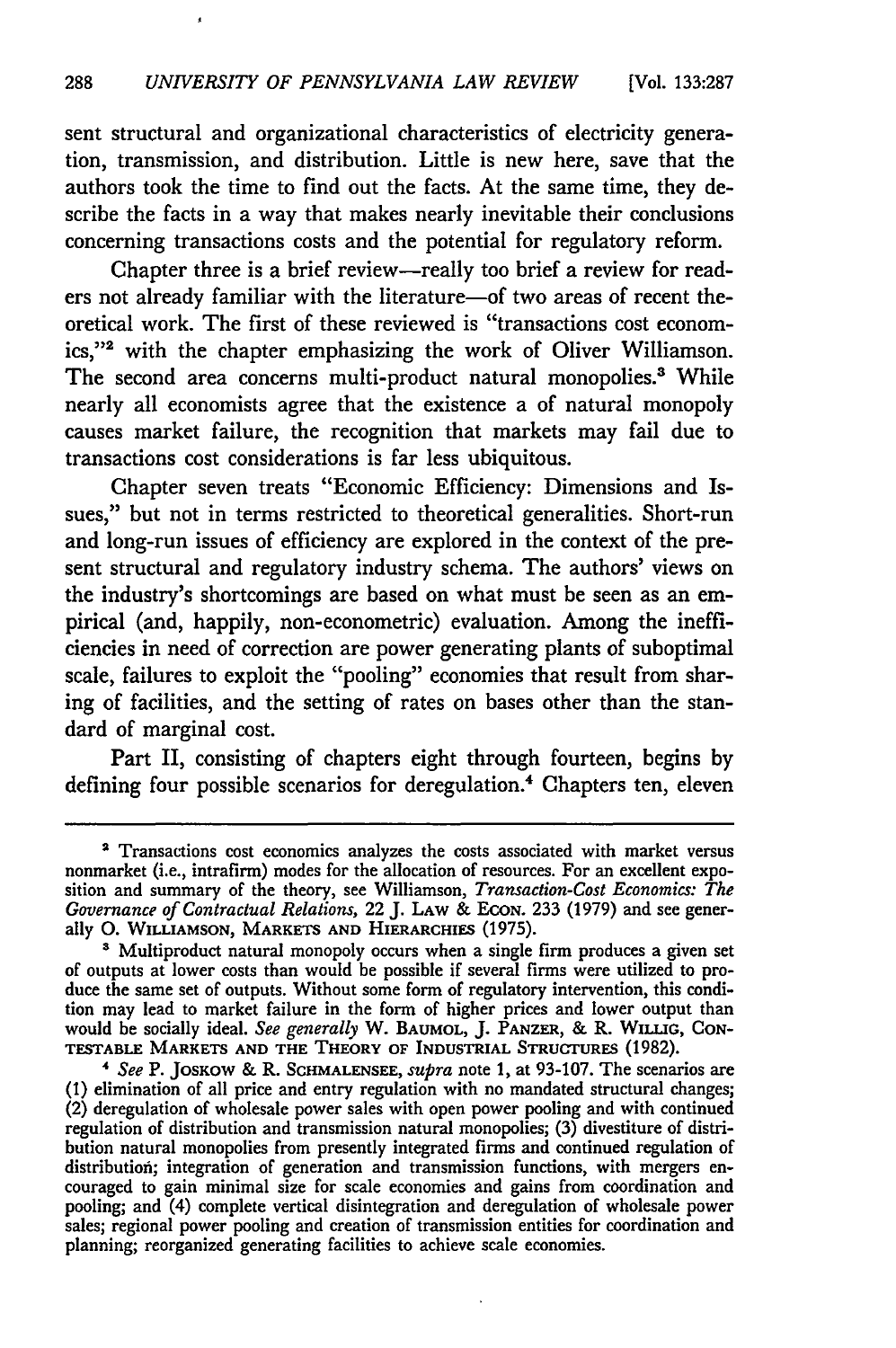sent structural and organizational characteristics of electricity generation, transmission, and distribution. Little is new here, save that the authors took the time to find out the facts. At the same time, they describe the facts in a way that makes nearly inevitable their conclusions concerning transactions costs and the potential for regulatory reform.

Chapter three is a brief review-really too brief a review for readers not already familiar with the literature-of two areas of recent theoretical work. The first of these reviewed is "transactions cost economics,"<sup>2</sup> with the chapter emphasizing the work of Oliver Williamson. The second area concerns multi-product natural monopolies.<sup>3</sup> While nearly all economists agree that the existence a of natural monopoly causes market failure, the recognition that markets may fail due to transactions cost considerations is far less ubiquitous.

Chapter seven treats "Economic Efficiency: Dimensions and Issues," but not in terms restricted to theoretical generalities. Short-run and long-run issues of efficiency are explored in the context of the present structural and regulatory industry schema. The authors' views on the industry's shortcomings are based on what must be seen as an empirical (and, happily, non-econometric) evaluation. Among the inefficiencies in need of correction are power generating plants of suboptimal scale, failures to exploit the "pooling" economies that result from sharing of facilities, and the setting of rates on bases other than the standard of marginal cost.

Part II, consisting of chapters eight through fourteen, begins by defining four possible scenarios for deregulation.<sup>4</sup> Chapters ten, eleven

**<sup>2</sup>**Transactions cost economics analyzes the costs associated with market versus nonmarket (i.e., intrafirm) modes for the allocation of resources. For an excellent exposition and summary of the theory, see Williamson, *Transaction-Cost Economics: The Governance of Contractual Relations,* 22 J. **LAW** & ECON. 233 (1979) and see generally **0. WILLIAMSON,** MARKETS **AND** HIERARCHIES **(1975).**

**<sup>&#</sup>x27;** Multiproduct natural monopoly occurs when a single firm produces a given set of outputs at lower costs than would be possible if several firms were utilized to produce the same set of outputs. Without some form of regulatory intervention, this condition may lead to market failure in the form of higher prices and lower output than would be socially ideal. *See generally* W. **BAUMOL, J.** PANZER, & R. **WILLIG, CON-TESTABLE** MARKETS **AND** THE THEORY OF INDUSTRIAL STRUCTURES (1982).

*<sup>&</sup>quot; See* P. JOSKOW & R. SCHMALENSEE, *supra* note 1, at 93-107. The scenarios are (1) elimination of all price and entry regulation with no mandated structural changes; (2) deregulation of wholesale power sales with open power pooling and with continued regulation of distribution and transmission natural monopolies; (3) divestiture of distribution natural monopolies from presently integrated firms and continued regulation of distribution; integration of generation and transmission functions, with mergers encouraged to gain minimal size for scale economies and gains from coordination and pooling; and (4) complete vertical disintegration and deregulation of wholesale power sales; regional power pooling and creation of transmission entities for coordination and planning; reorganized generating facilities to achieve scale economies.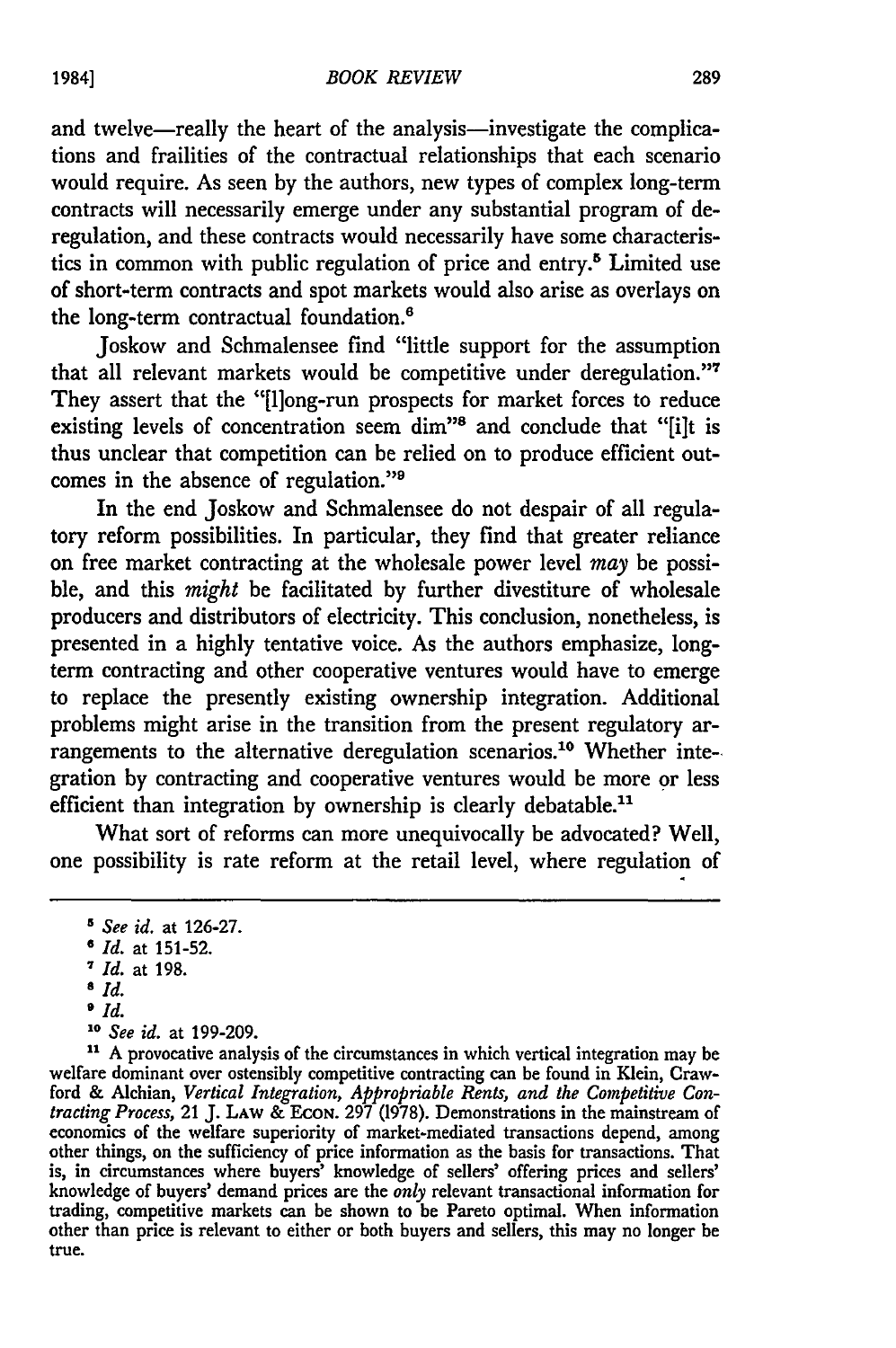and twelve—really the heart of the analysis—investigate the complications and frailities of the contractual relationships that each scenario would require. As seen by the authors, new types of complex long-term contracts will necessarily emerge under any substantial program of deregulation, and these contracts would necessarily have some characteristics in common with public regulation of price and entry.5 Limited use of short-term contracts and spot markets would also arise as overlays on the long-term contractual foundation.<sup>6</sup>

Joskow and Schmalensee find "little support for the assumption that all relevant markets would be competitive under deregulation."' They assert that the "[1]ong-run prospects for market forces to reduce existing levels of concentration seem dim"<sup>8</sup> and conclude that "[i]t is thus unclear that competition can be relied on to produce efficient outcomes in the absence of regulation."<sup>9</sup>

In the end Joskow and Schmalensee do not despair of all regulatory reform possibilities. In particular, they find that greater reliance on free market contracting at the wholesale power level *may* be possible, and this *might* be facilitated by further divestiture of wholesale producers and distributors of electricity. This conclusion, nonetheless, is presented in a highly tentative voice. As the authors emphasize, longterm contracting and other cooperative ventures would have to emerge to replace the presently existing ownership integration. Additional problems might arise in the transition from the present regulatory arrangements to the alternative deregulation scenarios.10 Whether integration by contracting and cooperative ventures would be more or less efficient than integration by ownership is clearly debatable.<sup>11</sup>

What sort of reforms can more unequivocally be advocated? Well, one possibility is rate reform at the retail level, where regulation of

- **<sup>7</sup>***Id.* at **198.** *<sup>S</sup>Id.*
- 
- *\* Id.*
- *<sup>10</sup>See id.* at **199-209.**

**"' A** provocative analysis of the circumstances in which vertical integration may be welfare dominant over ostensibly competitive contracting can be found in Klein, Crawford **&** Alchian, *Vertical Integration, Appropriable Rents, and the Competitive Contracting Process,* 21 **J. LAw & ECON. 297 (1978).** Demonstrations in the mainstream of economics of the welfare superiority of market-mediated transactions depend, among other things, on the sufficiency of price information as the basis for transactions. That is, in circumstances where buyers' knowledge of sellers' offering prices and sellers' knowledge of buyers' demand prices are the *only* relevant transactional information for trading, competitive markets can be shown to be Pareto optimal. When information other than price is relevant to either or both buyers and sellers, this may no longer be true.

*<sup>&#</sup>x27; See id.* at **126-27.**

**<sup>6</sup>** *Id.* at **151-52.**